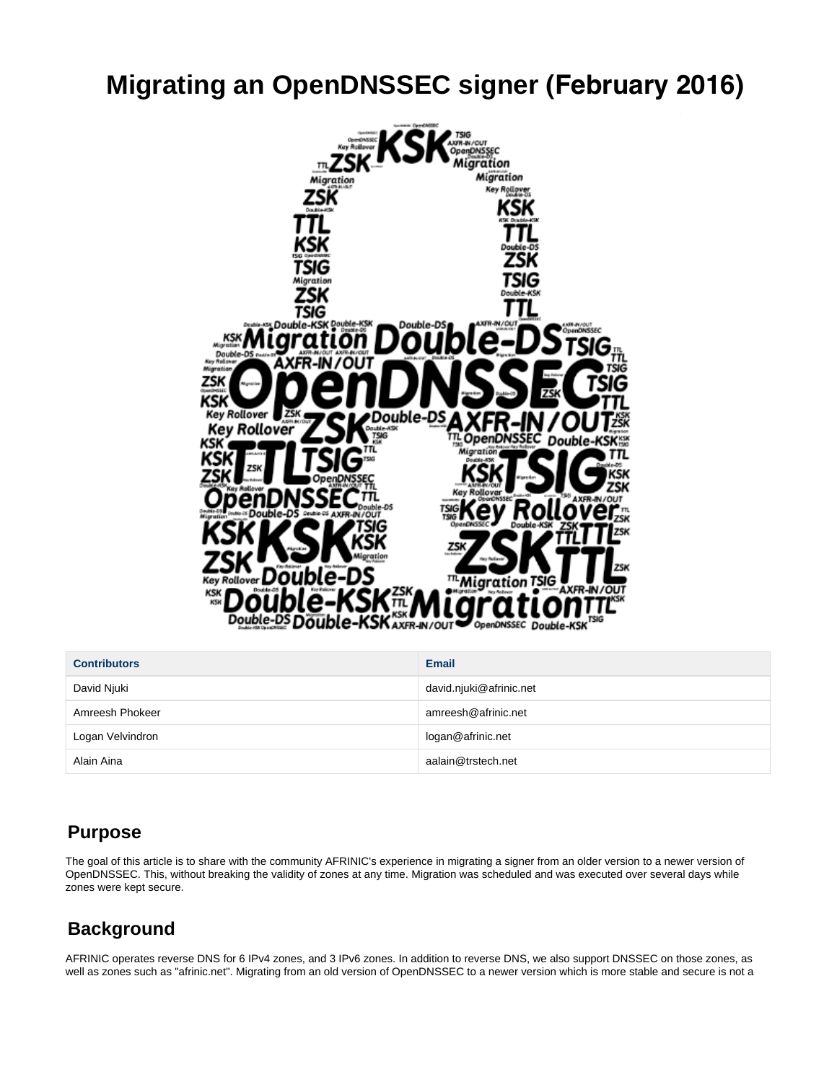# **Migrating an OpenDNSSEC signer (February 2016)**



| <b>Contributors</b> | <b>Email</b>            |
|---------------------|-------------------------|
| David Njuki         | david.njuki@afrinic.net |
| Amreesh Phokeer     | amreesh@afrinic.net     |
| Logan Velvindron    | logan@afrinic.net       |
| Alain Aina          | aalain@trstech.net      |

## **Purpose**

The goal of this article is to share with the community AFRINIC's experience in migrating a signer from an older version to a newer version of OpenDNSSEC. This, without breaking the validity of zones at any time. Migration was scheduled and was executed over several days while zones were kept secure.

## **Background**

AFRINIC operates reverse DNS for 6 IPv4 zones, and 3 IPv6 zones. In addition to reverse DNS, we also support DNSSEC on those zones, as well as zones such as "afrinic.net". Migrating from an old version of OpenDNSSEC to a newer version which is more stable and secure is not a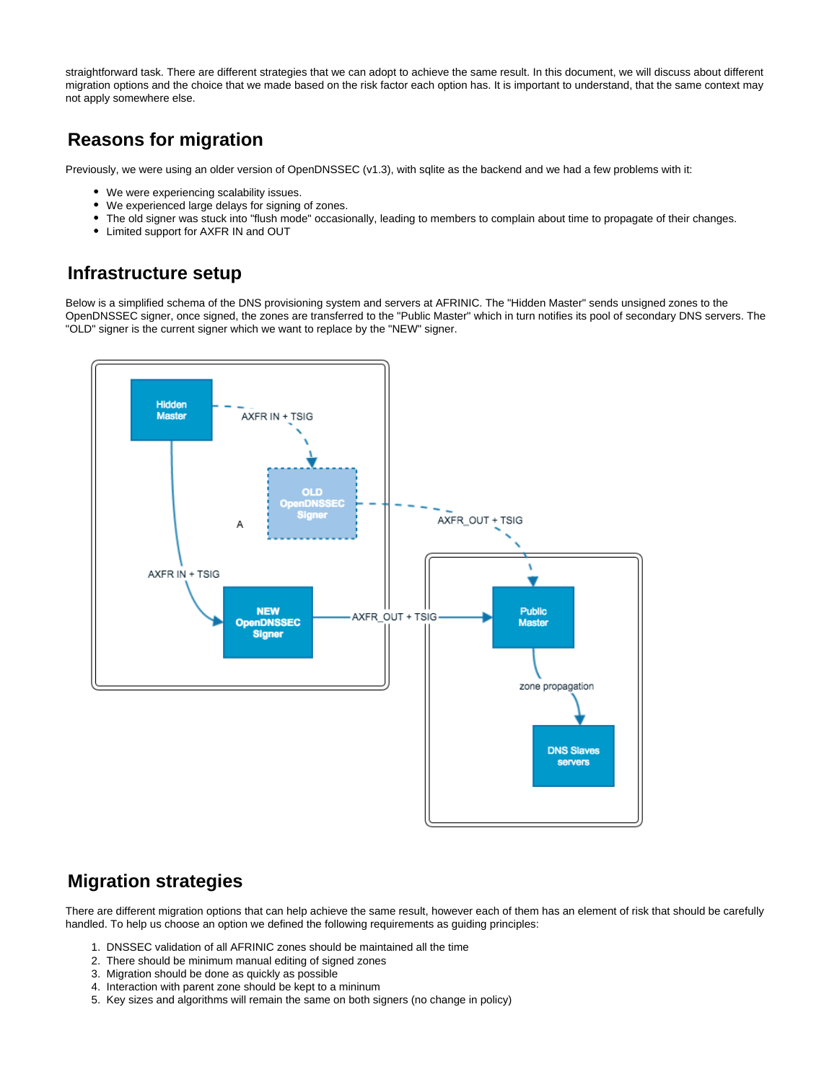straightforward task. There are different strategies that we can adopt to achieve the same result. In this document, we will discuss about different migration options and the choice that we made based on the risk factor each option has. It is important to understand, that the same context may not apply somewhere else.

## **Reasons for migration**

Previously, we were using an older version of OpenDNSSEC (v1.3), with sqlite as the backend and we had a few problems with it:

- We were experiencing scalability issues.
- We experienced large delays for signing of zones.
- The old signer was stuck into "flush mode" occasionally, leading to members to complain about time to propagate of their changes.
- Limited support for AXFR IN and OUT

### **Infrastructure setup**

Below is a simplified schema of the DNS provisioning system and servers at AFRINIC. The "Hidden Master" sends unsigned zones to the OpenDNSSEC signer, once signed, the zones are transferred to the "Public Master" which in turn notifies its pool of secondary DNS servers. The "OLD" signer is the current signer which we want to replace by the "NEW" signer.



## **Migration strategies**

There are different migration options that can help achieve the same result, however each of them has an element of risk that should be carefully handled. To help us choose an option we defined the following requirements as guiding principles:

- 1. DNSSEC validation of all AFRINIC zones should be maintained all the time
- 2. There should be minimum manual editing of signed zones
- 3. Migration should be done as quickly as possible
- 4. Interaction with parent zone should be kept to a mininum
- 5. Key sizes and algorithms will remain the same on both signers (no change in policy)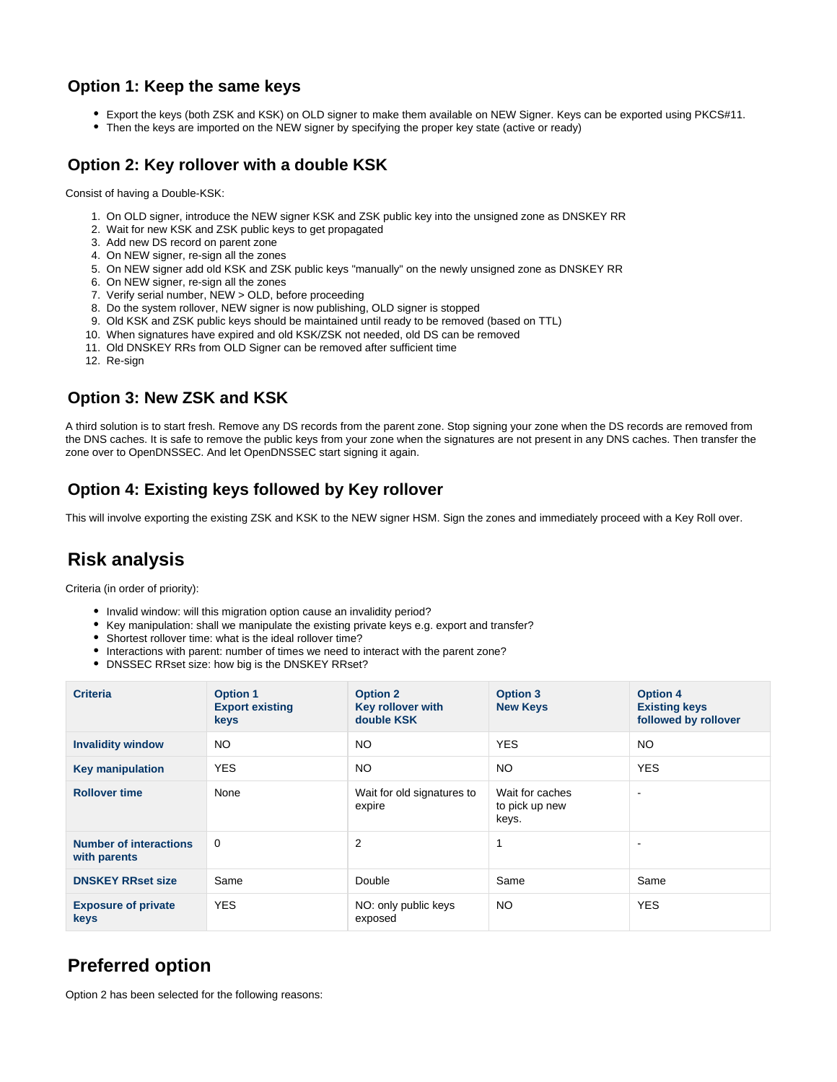### **Option 1: Keep the same keys**

- Export the keys (both ZSK and KSK) on OLD signer to make them available on NEW Signer. Keys can be exported using PKCS#11.
- Then the keys are imported on the NEW signer by specifying the proper key state (active or ready)

### **Option 2: Key rollover with a double KSK**

Consist of having a Double-KSK:

- 1. On OLD signer, introduce the NEW signer KSK and ZSK public key into the unsigned zone as DNSKEY RR
- 2. Wait for new KSK and ZSK public keys to get propagated
- 3. Add new DS record on parent zone
- 4. On NEW signer, re-sign all the zones
- 5. On NEW signer add old KSK and ZSK public keys "manually" on the newly unsigned zone as DNSKEY RR
- 6. On NEW signer, re-sign all the zones
- 7. Verify serial number, NEW > OLD, before proceeding
- 8. Do the system rollover, NEW signer is now publishing, OLD signer is stopped
- 9. Old KSK and ZSK public keys should be maintained until ready to be removed (based on TTL)
- 10. When signatures have expired and old KSK/ZSK not needed, old DS can be removed
- 11. Old DNSKEY RRs from OLD Signer can be removed after sufficient time
- 12. Re-sign

### **Option 3: New ZSK and KSK**

A third solution is to start fresh. Remove any DS records from the parent zone. Stop signing your zone when the DS records are removed from the DNS caches. It is safe to remove the public keys from your zone when the signatures are not present in any DNS caches. Then transfer the zone over to OpenDNSSEC. And let OpenDNSSEC start signing it again.

### **Option 4: Existing keys followed by Key rollover**

This will involve exporting the existing ZSK and KSK to the NEW signer HSM. Sign the zones and immediately proceed with a Key Roll over.

## **Risk analysis**

Criteria (in order of priority):

- Invalid window: will this migration option cause an invalidity period?
- Key manipulation: shall we manipulate the existing private keys e.g. export and transfer?
- Shortest rollover time: what is the ideal rollover time?
- Interactions with parent: number of times we need to interact with the parent zone?
- DNSSEC RRset size: how big is the DNSKEY RRset?

| <b>Criteria</b>                               | <b>Option 1</b><br><b>Export existing</b><br>keys | <b>Option 2</b><br>Key rollover with<br>double KSK | <b>Option 3</b><br><b>New Keys</b>         | <b>Option 4</b><br><b>Existing keys</b><br>followed by rollover |
|-----------------------------------------------|---------------------------------------------------|----------------------------------------------------|--------------------------------------------|-----------------------------------------------------------------|
| <b>Invalidity window</b>                      | NO.                                               | <b>NO</b>                                          | <b>YES</b>                                 | NO.                                                             |
| <b>Key manipulation</b>                       | <b>YES</b>                                        | <b>NO</b>                                          | <b>NO</b>                                  | <b>YES</b>                                                      |
| <b>Rollover time</b>                          | None                                              | Wait for old signatures to<br>expire               | Wait for caches<br>to pick up new<br>keys. | $\overline{\phantom{a}}$                                        |
| <b>Number of interactions</b><br>with parents | $\Omega$                                          | 2                                                  |                                            | $\overline{\phantom{a}}$                                        |
| <b>DNSKEY RRset size</b>                      | Same                                              | Double                                             | Same                                       | Same                                                            |
| <b>Exposure of private</b><br>keys            | <b>YES</b>                                        | NO: only public keys<br>exposed                    | <b>NO</b>                                  | <b>YES</b>                                                      |

## **Preferred option**

Option 2 has been selected for the following reasons: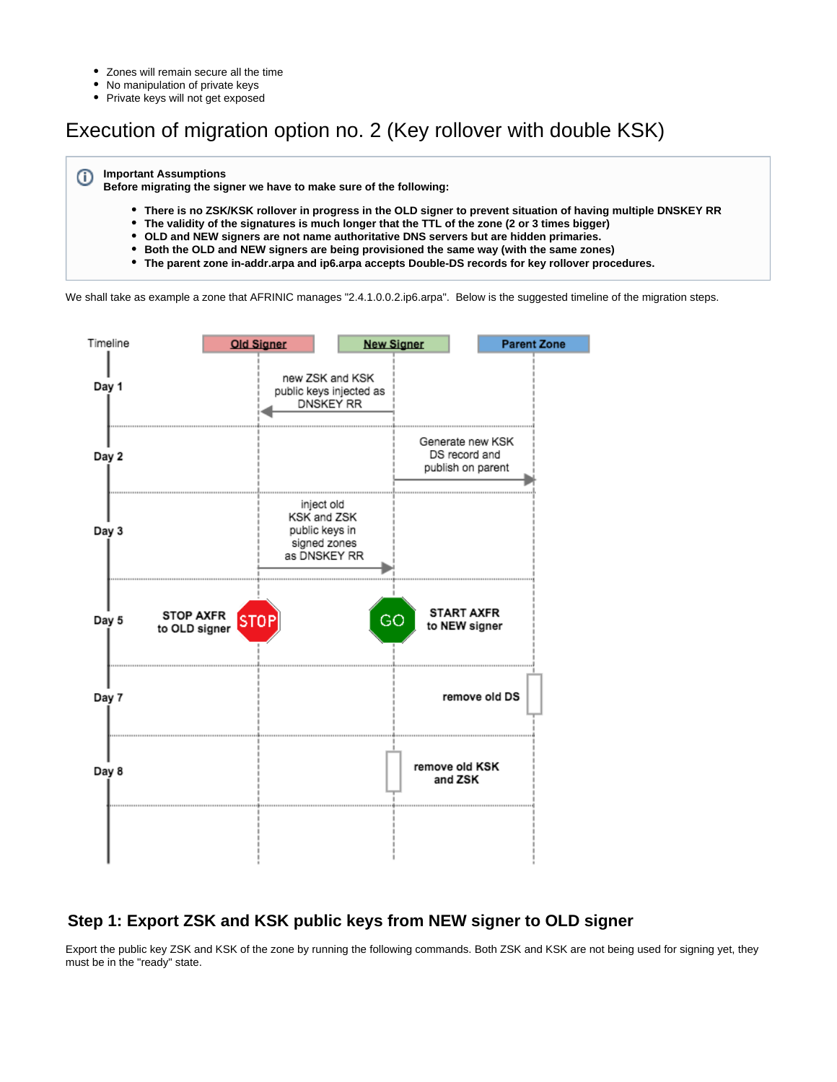- Zones will remain secure all the time  $\bullet$
- $\bullet$ No manipulation of private keys
- Private keys will not get exposed

## Execution of migration option no. 2 (Key rollover with double KSK)

#### **Important Assumptions** ⋒

**Before migrating the signer we have to make sure of the following:**

- $\bullet$ **There is no ZSK/KSK rollover in progress in the OLD signer to prevent situation of having multiple DNSKEY RR**
- **The validity of the signatures is much longer that the TTL of the zone (2 or 3 times bigger)**
- **OLD and NEW signers are not name authoritative DNS servers but are hidden primaries.**
- **Both the OLD and NEW signers are being provisioned the same way (with the same zones)**
- **The parent zone in-addr.arpa and ip6.arpa accepts Double-DS records for key rollover procedures.**

We shall take as example a zone that AFRINIC manages "2.4.1.0.0.2.ip6.arpa". Below is the suggested timeline of the migration steps.



### **Step 1: Export ZSK and KSK public keys from NEW signer to OLD signer**

Export the public key ZSK and KSK of the zone by running the following commands. Both ZSK and KSK are not being used for signing yet, they must be in the "ready" state.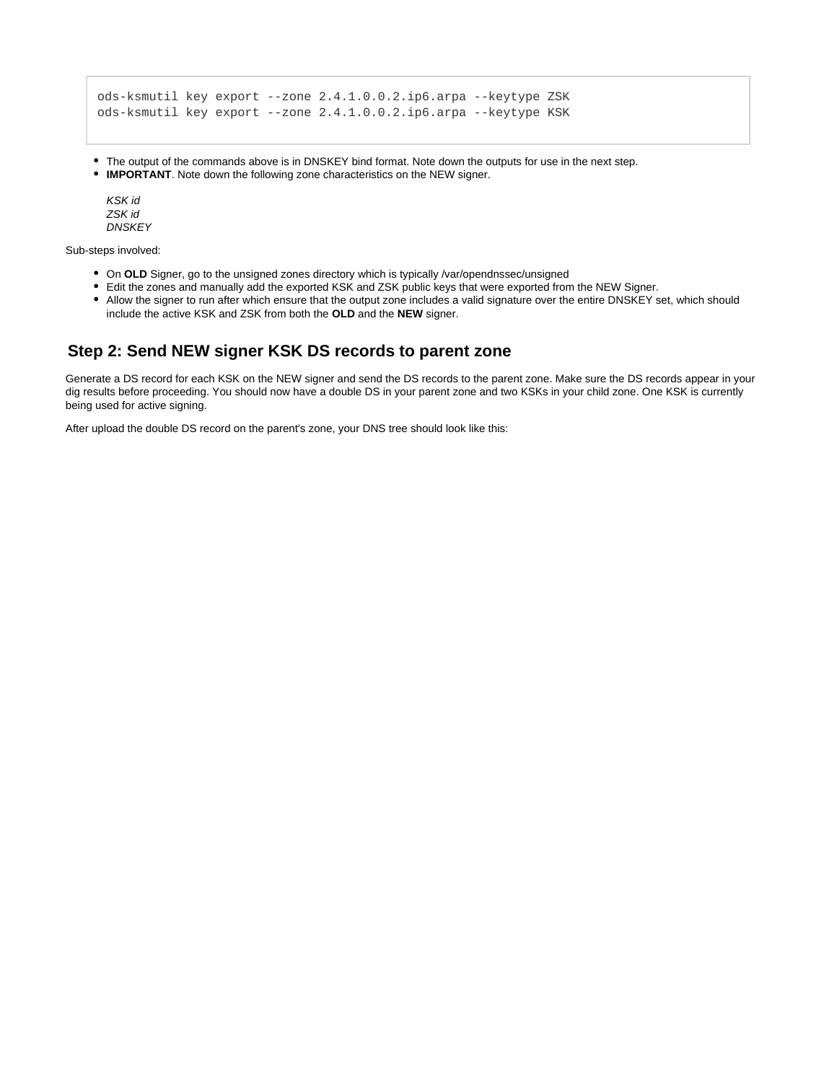```
ods-ksmutil key export --zone 2.4.1.0.0.2.ip6.arpa --keytype ZSK 
ods-ksmutil key export --zone 2.4.1.0.0.2.ip6.arpa --keytype KSK
```
- The output of the commands above is in DNSKEY bind format. Note down the outputs for use in the next step.
- **IMPORTANT**. Note down the following zone characteristics on the NEW signer.

KSK id ZSK id **DNSKEY** 

Sub-steps involved:

- On OLD Signer, go to the unsigned zones directory which is typically /var/opendnssec/unsigned
- Edit the zones and manually add the exported KSK and ZSK public keys that were exported from the NEW Signer.
- Allow the signer to run after which ensure that the output zone includes a valid signature over the entire DNSKEY set, which should include the active KSK and ZSK from both the **OLD** and the **NEW** signer.

#### **Step 2: Send NEW signer KSK DS records to parent zone**

Generate a DS record for each KSK on the NEW signer and send the DS records to the parent zone. Make sure the DS records appear in your dig results before proceeding. You should now have a double DS in your parent zone and two KSKs in your child zone. One KSK is currently being used for active signing.

After upload the double DS record on the parent's zone, your DNS tree should look like this: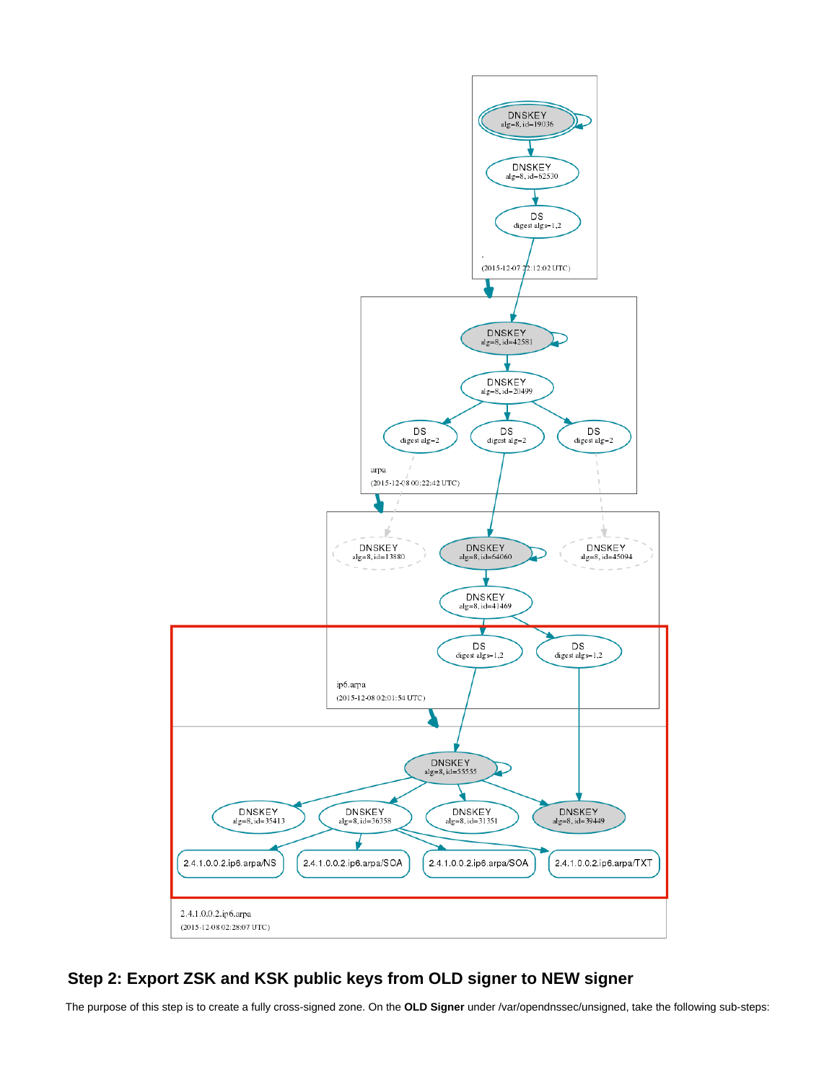

### **Step 2: Export ZSK and KSK public keys from OLD signer to NEW signer**

The purpose of this step is to create a fully cross-signed zone. On the **OLD Signer** under /var/opendnssec/unsigned, take the following sub-steps: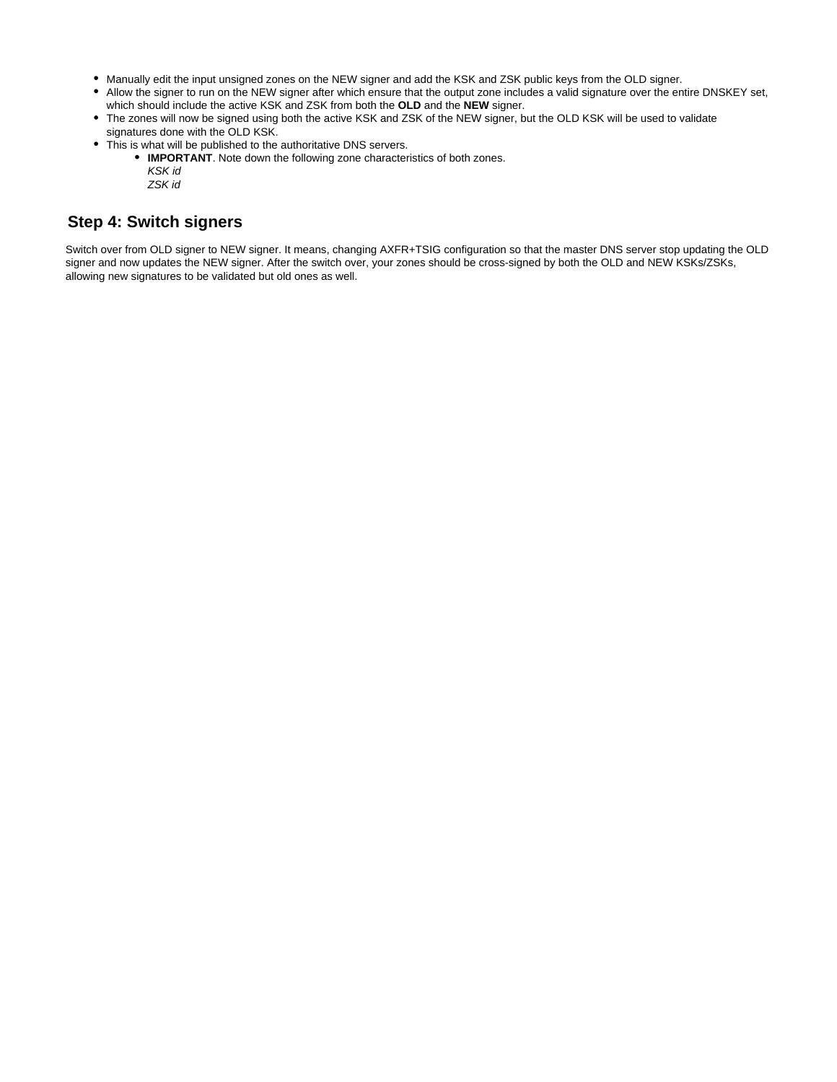- Manually edit the input unsigned zones on the NEW signer and add the KSK and ZSK public keys from the OLD signer.
- Allow the signer to run on the NEW signer after which ensure that the output zone includes a valid signature over the entire DNSKEY set, which should include the active KSK and ZSK from both the **OLD** and the **NEW** signer.
- The zones will now be signed using both the active KSK and ZSK of the NEW signer, but the OLD KSK will be used to validate signatures done with the OLD KSK.
- This is what will be published to the authoritative DNS servers.
	- **IMPORTANT**. Note down the following zone characteristics of both zones. KSK id
		- ZSK id

#### **Step 4: Switch signers**

Switch over from OLD signer to NEW signer. It means, changing AXFR+TSIG configuration so that the master DNS server stop updating the OLD signer and now updates the NEW signer. After the switch over, your zones should be cross-signed by both the OLD and NEW KSKs/ZSKs, allowing new signatures to be validated but old ones as well.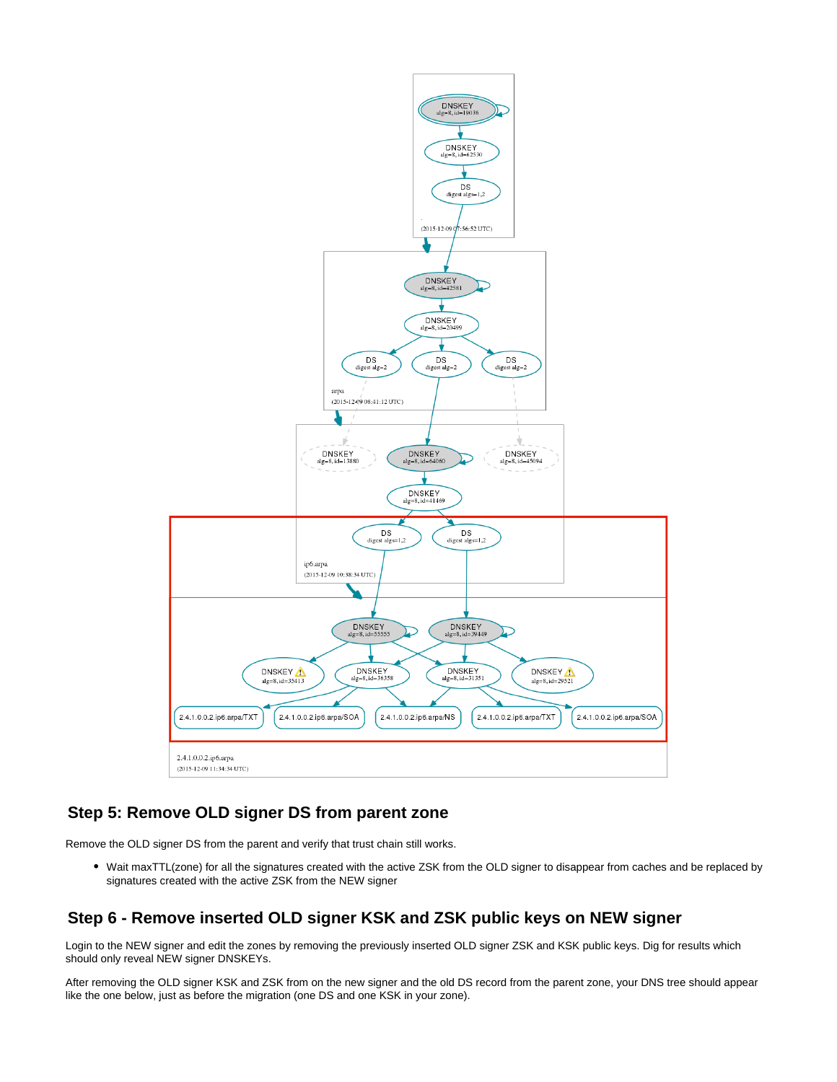

#### **Step 5: Remove OLD signer DS from parent zone**

Remove the OLD signer DS from the parent and verify that trust chain still works.

Wait maxTTL(zone) for all the signatures created with the active ZSK from the OLD signer to disappear from caches and be replaced by signatures created with the active ZSK from the NEW signer

### **Step 6 - Remove inserted OLD signer KSK and ZSK public keys on NEW signer**

Login to the NEW signer and edit the zones by removing the previously inserted OLD signer ZSK and KSK public keys. Dig for results which should only reveal NEW signer DNSKEYs.

After removing the OLD signer KSK and ZSK from on the new signer and the old DS record from the parent zone, your DNS tree should appear like the one below, just as before the migration (one DS and one KSK in your zone).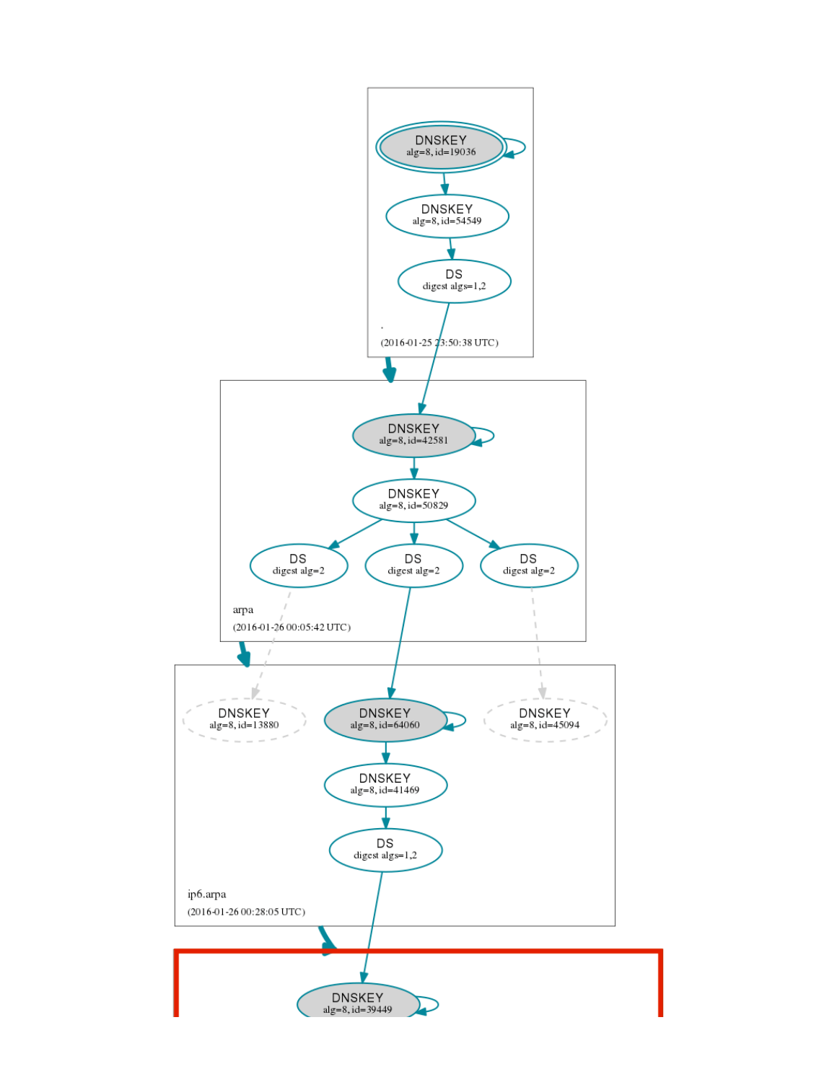